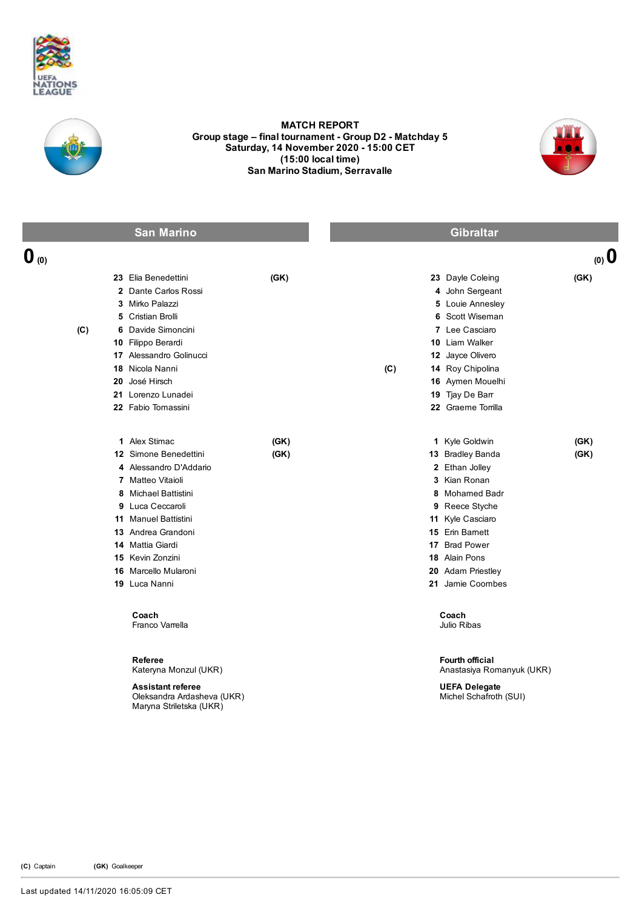



## MATCH REPORT Group stage – final tournament - Group D2 - Matchday 5 Saturday, 14 November 2020 15:00 CET (15:00 local time) San Marino Stadium, Serravalle



|                  | <b>San Marino</b>                                                                                                                                                                                                                                                       |              |     | <b>Gibraltar</b>                                                                                                                                                                                                           |              |
|------------------|-------------------------------------------------------------------------------------------------------------------------------------------------------------------------------------------------------------------------------------------------------------------------|--------------|-----|----------------------------------------------------------------------------------------------------------------------------------------------------------------------------------------------------------------------------|--------------|
| $\mathbf{0}$ (0) |                                                                                                                                                                                                                                                                         |              |     |                                                                                                                                                                                                                            | $(0)$ 0      |
| (C)              | 23 Elia Benedettini<br>2 Dante Carlos Rossi<br>3 Mirko Palazzi<br>5 Cristian Brolli<br>6 Davide Simoncini<br>10 Filippo Berardi<br>17 Alessandro Golinucci<br>18 Nicola Nanni<br>20 José Hirsch                                                                         | (GK)         | (C) | 23 Dayle Coleing<br>4 John Sergeant<br>5 Louie Annesley<br>6 Scott Wiseman<br>7 Lee Casciaro<br>10 Liam Walker<br>12 Jayce Olivero<br>14 Roy Chipolina<br>16 Aymen Mouelhi                                                 | (GK)         |
|                  | 21 Lorenzo Lunadei<br>22 Fabio Tomassini                                                                                                                                                                                                                                |              |     | 19 Tjay De Barr<br>22 Graeme Torrilla                                                                                                                                                                                      |              |
|                  | 1 Alex Stimac<br>12 Simone Benedettini<br>4 Alessandro D'Addario<br>7 Matteo Vitaioli<br>8 Michael Battistini<br>9 Luca Ceccaroli<br><b>11</b> Manuel Battistini<br>13 Andrea Grandoni<br>14 Mattia Giardi<br>15 Kevin Zonzini<br>16 Marcello Mularoni<br>19 Luca Nanni | (GK)<br>(GK) |     | 1 Kyle Goldwin<br>13 Bradley Banda<br>2 Ethan Jolley<br>3 Kian Ronan<br>8 Mohamed Badr<br>9 Reece Styche<br>11 Kyle Casciaro<br>15 Erin Barnett<br>17 Brad Power<br>18 Alain Pons<br>20 Adam Priestley<br>21 Jamie Coombes | (GK)<br>(GK) |
|                  | Coach<br>Franco Varrella                                                                                                                                                                                                                                                |              |     | Coach<br>Julio Ribas                                                                                                                                                                                                       |              |
|                  | Referee<br>Kateryna Monzul (UKR)<br><b>Assistant referee</b><br>Oleksandra Ardasheva (UKR)<br>Maryna Striletska (UKR)                                                                                                                                                   |              |     | Fourth official<br>Anastasiya Romanyuk (UKR)<br><b>UEFA Delegate</b><br>Michel Schafroth (SUI)                                                                                                                             |              |

(C) Captain (GK) Goalkeeper